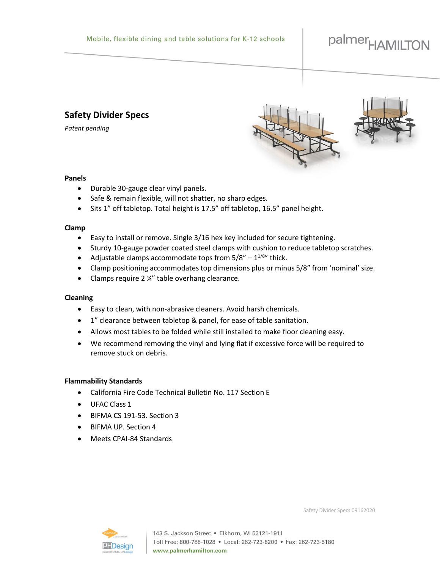### **Safety Divider Specs**

*Patent pending*



#### **Panels**

- Durable 30-gauge clear vinyl panels.
- Safe & remain flexible, will not shatter, no sharp edges.
- Sits 1" off tabletop. Total height is 17.5" off tabletop, 16.5" panel height.

#### **Clamp**

- Easy to install or remove. Single 3/16 hex key included for secure tightening.
- Sturdy 10-gauge powder coated steel clamps with cushion to reduce tabletop scratches.
- Adjustable clamps accommodate tops from  $5/8'' 1^{1/8''}$  thick.
- Clamp positioning accommodates top dimensions plus or minus 5/8" from 'nominal' size.
- Clamps require 2 ¼" table overhang clearance.

#### **Cleaning**

- Easy to clean, with non-abrasive cleaners. Avoid harsh chemicals.
- 1" clearance between tabletop & panel, for ease of table sanitation.
- Allows most tables to be folded while still installed to make floor cleaning easy.
- We recommend removing the vinyl and lying flat if excessive force will be required to remove stuck on debris.

#### **Flammability Standards**

- California Fire Code Technical Bulletin No. 117 Section E
- UFAC Class 1
- BIFMA CS 191-53. Section 3
- BIFMA UP. Section 4
- Meets CPAI-84 Standards



Safety Divider Specs 09162020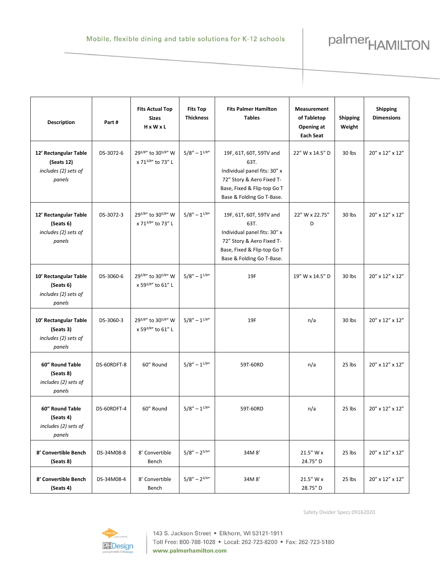| <b>Description</b>                                                    | Part#       | <b>Fits Actual Top</b><br><b>Sizes</b><br>HxWxL     | <b>Fits Top</b><br><b>Thickness</b> | <b>Fits Palmer Hamilton</b><br><b>Tables</b>                                                                                                             | Measurement<br>of Tabletop<br>Opening at<br><b>Each Seat</b> | <b>Shipping</b><br>Weight | <b>Shipping</b><br><b>Dimensions</b> |
|-----------------------------------------------------------------------|-------------|-----------------------------------------------------|-------------------------------------|----------------------------------------------------------------------------------------------------------------------------------------------------------|--------------------------------------------------------------|---------------------------|--------------------------------------|
| 12' Rectangular Table<br>(Seats 12)<br>includes (2) sets of<br>panels | DS-3072-6   | 293/8" to 305/8" W<br>x 713/8" to 73" L             | $5/8'' - 1^{1/8''}$                 | 19F, 61T, 60T, 59TV and<br>63T.<br>Individual panel fits: 30" x<br>72" Story & Aero Fixed T-<br>Base, Fixed & Flip-top Go T<br>Base & Folding Go T-Base. | 22" W x 14.5" D                                              | 30 lbs                    | 20" x 12" x 12"                      |
| 12' Rectangular Table<br>(Seats 6)<br>includes (2) sets of<br>panels  | DS-3072-3   | 293/8" to 305/8" W<br>x 71 <sup>3/8"</sup> to 73" L | $5/8'' - 1^{1/8''}$                 | 19F, 61T, 60T, 59TV and<br>63T.<br>Individual panel fits: 30" x<br>72" Story & Aero Fixed T-<br>Base, Fixed & Flip-top Go T<br>Base & Folding Go T-Base. | 22" W x 22.75"<br>D                                          | 30 lbs                    | 20" x 12" x 12"                      |
| 10' Rectangular Table<br>(Seats 6)<br>includes (2) sets of<br>panels  | DS-3060-6   | 293/8" to 305/8" W<br>x 593/8" to 61" L             | $5/8'' - 1^{1/8''}$                 | 19F                                                                                                                                                      | 19" W x 14.5" D                                              | 30 lbs                    | 20" x 12" x 12"                      |
| 10' Rectangular Table<br>(Seats 3)<br>includes (2) sets of<br>panels  | DS-3060-3   | 293/8" to 305/8" W<br>x 593/8" to 61" L             | $5/8'' - 1^{1/8''}$                 | 19F                                                                                                                                                      | n/a                                                          | 30 lbs                    | 20" x 12" x 12"                      |
| 60" Round Table<br>(Seats 8)<br>includes (2) sets of<br>panels        | DS-60RDFT-8 | 60" Round                                           | $5/8'' - 1^{1/8''}$                 | 59T-60RD                                                                                                                                                 | n/a                                                          | 25 lbs                    | 20" x 12" x 12"                      |
| 60" Round Table<br>(Seats 4)<br>includes (2) sets of<br>panels        | DS-60RDFT-4 | 60" Round                                           | $5/8'' - 1^{1/8''}$                 | 59T-60RD                                                                                                                                                 | n/a                                                          | 25 lbs                    | 20" x 12" x 12"                      |
| 8' Convertible Bench<br>(Seats 8)                                     | DS-34M08-8  | 8' Convertible<br>Bench                             | $5/8'' - 2^{3/4''}$                 | 34M 8'                                                                                                                                                   | 21.5" W x<br>24.75" D                                        | 25 lbs                    | 20" x 12" x 12"                      |
| 8' Convertible Bench<br>(Seats 4)                                     | DS-34M08-4  | 8' Convertible<br>Bench                             | $5/8'' - 2^{3/4''}$                 | 34M 8'                                                                                                                                                   | 21.5" W x<br>28.75" D                                        | 25 lbs                    | 20" x 12" x 12"                      |



Safety Divider Specs 09162020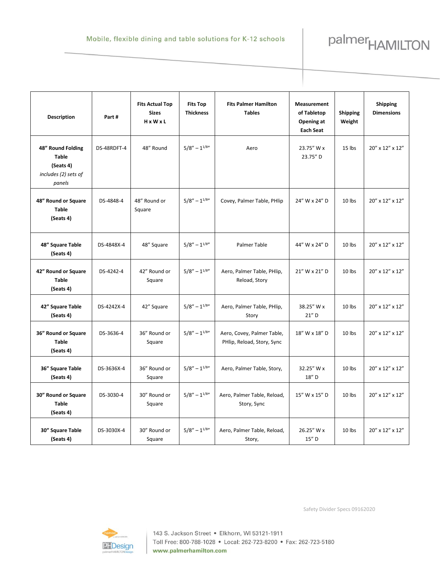| <b>Description</b>                                                               | Part#       | <b>Fits Actual Top</b><br><b>Sizes</b><br>$H \times W \times L$ | <b>Fits Top</b><br><b>Thickness</b> | <b>Fits Palmer Hamilton</b><br><b>Tables</b>             | <b>Measurement</b><br>of Tabletop<br>Opening at<br><b>Each Seat</b> | <b>Shipping</b><br>Weight | <b>Shipping</b><br><b>Dimensions</b> |
|----------------------------------------------------------------------------------|-------------|-----------------------------------------------------------------|-------------------------------------|----------------------------------------------------------|---------------------------------------------------------------------|---------------------------|--------------------------------------|
| 48" Round Folding<br><b>Table</b><br>(Seats 4)<br>includes (2) sets of<br>panels | DS-48RDFT-4 | 48" Round                                                       | $5/8'' - 1^{1/8''}$                 | Aero                                                     | 23.75" W x<br>23.75" D                                              | 15 lbs                    | 20" x 12" x 12"                      |
| 48" Round or Square<br><b>Table</b><br>(Seats 4)                                 | DS-4848-4   | 48" Round or<br>Square                                          | $5/8'' - 1^{1/8''}$                 | Covey, Palmer Table, PHlip                               | 24" W x 24" D                                                       | 10 lbs                    | 20" x 12" x 12"                      |
| 48" Square Table<br>(Seats 4)                                                    | DS-4848X-4  | 48" Square                                                      | $5/8'' - 1^{1/8''}$                 | Palmer Table                                             | 44" W x 24" D                                                       | 10 lbs                    | 20" x 12" x 12"                      |
| 42" Round or Square<br><b>Table</b><br>(Seats 4)                                 | DS-4242-4   | 42" Round or<br>Square                                          | $5/8'' - 1^{1/8''}$                 | Aero, Palmer Table, PHlip,<br>Reload, Story              | 21" W x 21" D                                                       | $10$ lbs                  | 20" x 12" x 12"                      |
| 42" Square Table<br>(Seats 4)                                                    | DS-4242X-4  | 42" Square                                                      | $5/8'' - 1^{1/8''}$                 | Aero, Palmer Table, PHlip,<br>Story                      | 38.25" W x<br>21" D                                                 | 10 lbs                    | 20" x 12" x 12"                      |
| 36" Round or Square<br><b>Table</b><br>(Seats 4)                                 | DS-3636-4   | 36" Round or<br>Square                                          | $5/8'' - 1^{1/8''}$                 | Aero, Covey, Palmer Table,<br>PHlip, Reload, Story, Sync | 18" W x 18" D                                                       | 10 lbs                    | 20" x 12" x 12"                      |
| 36" Square Table<br>(Seats 4)                                                    | DS-3636X-4  | 36" Round or<br>Square                                          | $5/8'' - 1^{1/8''}$                 | Aero, Palmer Table, Story,                               | 32.25" W x<br>18" D                                                 | 10 lbs                    | 20" x 12" x 12"                      |
| 30" Round or Square<br><b>Table</b><br>(Seats 4)                                 | DS-3030-4   | 30" Round or<br>Square                                          | $5/8'' - 1^{1/8''}$                 | Aero, Palmer Table, Reload,<br>Story, Sync               | 15" W x 15" D                                                       | 10 lbs                    | 20" x 12" x 12"                      |
| 30" Square Table<br>(Seats 4)                                                    | DS-3030X-4  | 30" Round or<br>Square                                          | $5/8'' - 1^{1/8''}$                 | Aero, Palmer Table, Reload,<br>Story,                    | 26.25" W x<br>15" D                                                 | 10 lbs                    | 20" x 12" x 12"                      |



Safety Divider Specs 09162020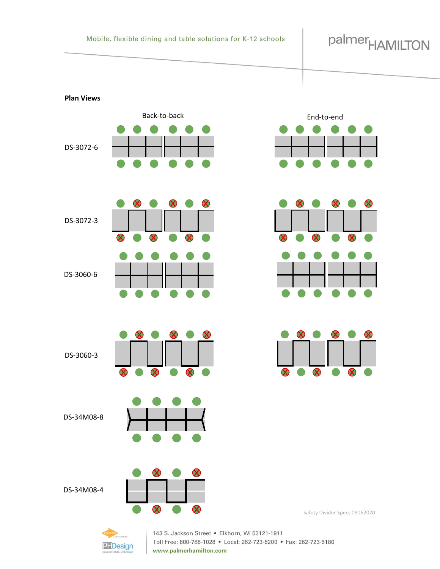# palmer<sub>HAMILTON</sub>

#### **Plan Views**





 $\infty$ 

.







DS-34M08-8

DS-3060-3



 $\infty$ 

 $\infty$ 

 $\infty$ 

DS-34M08-4

Safety Divider Specs 09162020



143 S. Jackson Street . Elkhorn, WI 53121-1911 Toll Free: 800-788-1028 • Local: 262-723-8200 • Fax: 262-723-5180 www.palmerhamilton.com